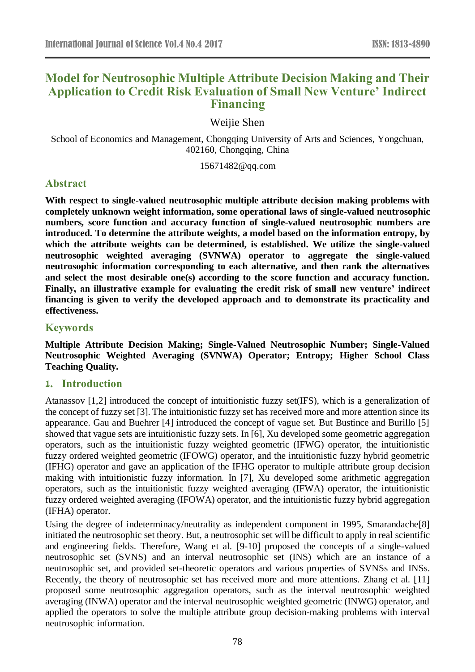# **Model for Neutrosophic Multiple Attribute Decision Making and Their Application to Credit Risk Evaluation of Small New Venture' Indirect Financing**

Weijie Shen

School of Economics and Management, Chongqing University of Arts and Sciences, Yongchuan, 402160, Chongqing, China

15671482@qq.com

# **Abstract**

**With respect to single-valued neutrosophic multiple attribute decision making problems with completely unknown weight information, some operational laws of single-valued neutrosophic numbers, score function and accuracy function of single-valued neutrosophic numbers are introduced. To determine the attribute weights, a model based on the information entropy, by which the attribute weights can be determined, is established. We utilize the single-valued neutrosophic weighted averaging (SVNWA) operator to aggregate the single-valued neutrosophic information corresponding to each alternative, and then rank the alternatives and select the most desirable one(s) according to the score function and accuracy function. Finally, an illustrative example for evaluating the credit risk of small new venture' indirect financing is given to verify the developed approach and to demonstrate its practicality and effectiveness.**

# **Keywords**

**Multiple Attribute Decision Making; Single-Valued Neutrosophic Number; Single-Valued Neutrosophic Weighted Averaging (SVNWA) Operator; Entropy; Higher School Class Teaching Quality.**

# **1. Introduction**

Atanassov [1,2] introduced the concept of intuitionistic fuzzy set(IFS), which is a generalization of the concept of fuzzy set [3]. The intuitionistic fuzzy set has received more and more attention since its appearance. Gau and Buehrer [4] introduced the concept of vague set. But Bustince and Burillo [5] showed that vague sets are intuitionistic fuzzy sets. In [6], Xu developed some geometric aggregation operators, such as the intuitionistic fuzzy weighted geometric (IFWG) operator, the intuitionistic fuzzy ordered weighted geometric (IFOWG) operator, and the intuitionistic fuzzy hybrid geometric (IFHG) operator and gave an application of the IFHG operator to multiple attribute group decision making with intuitionistic fuzzy information. In [7], Xu developed some arithmetic aggregation operators, such as the intuitionistic fuzzy weighted averaging (IFWA) operator, the intuitionistic fuzzy ordered weighted averaging (IFOWA) operator, and the intuitionistic fuzzy hybrid aggregation (IFHA) operator.

Using the degree of indeterminacy/neutrality as independent component in 1995, Smarandache[8] initiated the neutrosophic set theory. But, a neutrosophic set will be difficult to apply in real scientific and engineering fields. Therefore, Wang et al. [9-10] proposed the concepts of a single-valued neutrosophic set (SVNS) and an interval neutrosophic set (INS) which are an instance of a neutrosophic set, and provided set-theoretic operators and various properties of SVNSs and INSs. Recently, the theory of neutrosophic set has received more and more attentions. Zhang et al. [11] proposed some neutrosophic aggregation operators, such as the interval neutrosophic weighted averaging (INWA) operator and the interval neutrosophic weighted geometric (INWG) operator, and applied the operators to solve the multiple attribute group decision-making problems with interval neutrosophic information.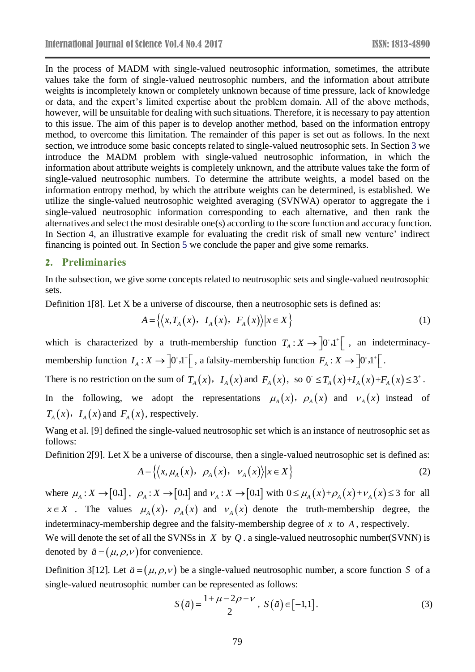In the process of MADM with single-valued neutrosophic information, sometimes, the attribute values take the form of single-valued neutrosophic numbers, and the information about attribute weights is incompletely known or completely unknown because of time pressure, lack of knowledge or data, and the expert's limited expertise about the problem domain. All of the above methods, however, will be unsuitable for dealing with such situations. Therefore, it is necessary to pay attention to this issue. The aim of this paper is to develop another method, based on the information entropy method, to overcome this limitation. The remainder of this paper is set out as follows. In the next section, we introduce some basic concepts related to single-valued neutrosophic sets. In Section 3 we introduce the MADM problem with single-valued neutrosophic information, in which the information about attribute weights is completely unknown, and the attribute values take the form of single-valued neutrosophic numbers. To determine the attribute weights, a model based on the information entropy method, by which the attribute weights can be determined, is established. We utilize the single-valued neutrosophic weighted averaging (SVNWA) operator to aggregate the i single-valued neutrosophic information corresponding to each alternative, and then rank the alternatives and select the most desirable one(s) according to the score function and accuracy function. In Section 4, an illustrative example for evaluating the credit risk of small new venture' indirect financing is pointed out. In Section 5 we conclude the paper and give some remarks.

### **2. Preliminaries**

In the subsection, we give some concepts related to neutrosophic sets and single-valued neutrosophic sets.

Definition 1[8]. Let X be a universe of discourse, then a neutrosophic sets is defined as:

$$
A = \left\{ \left\langle x, T_A(x), I_A(x), F_A(x) \right\rangle | x \in X \right\}
$$
 (1)

which is characterized by a truth-membership function  $T_A: X \to [0, 1]^+$ , an indeterminacymembership function  $I_A: X \to \left] 0^{\circ}, 1^{\circ} \right[$ , a falsity-membership function  $F_A: X \to \left] 0^{\circ}, 1^{\circ} \right[$ .

There is no restriction on the sum of  $T_A(x)$ ,  $I_A(x)$  and  $F_A(x)$ , so  $0 \le T_A(x)+I_A(x)+F_A(x) \le 3^+$ .

In the following, we adopt the representations  $\mu_A(x)$ ,  $\rho_A(x)$  and  $\nu_A(x)$  instead of  $T_A(x)$ ,  $I_A(x)$  and  $F_A(x)$ , respectively.

Wang et al. [9] defined the single-valued neutrosophic set which is an instance of neutrosophic set as follows:

Definition 2[9]. Let X be a universe of discourse, then a single-valued neutrosophic set is defined as:

$$
A = \left\{ \left\langle x, \mu_A(x), \ \rho_A(x), \ \nu_A(x) \right\rangle | x \in X \right\}
$$
 (2)

where  $\mu_A: X \to [0,1]$ ,  $\rho_A: X \to [0,1]$  and  $\nu_A: X \to [0,1]$  with  $0 \leq \mu_A(x) + \rho_A(x) + \nu_A(x) \leq 3$  for all  $x \in X$  . The values  $\mu_A(x)$ ,  $\rho_A(x)$  and  $\nu_A(x)$  denote the truth-membership degree, the indeterminacy-membership degree and the falsity-membership degree of *x* to *<sup>A</sup>* , respectively.

We will denote the set of all the SVNSs in  $X$  by  $Q$ . a single-valued neutrosophic number(SVNN) is denoted by  $\tilde{a} = (\mu, \rho, v)$  for convenience.

Definition 3[12]. Let  $\tilde{a} = (\mu, \rho, v)$  be a single-valued neutrosophic number, a score function S of a single-valued neutrosophic number can be represented as follows:

$$
S(\tilde{a}) = \frac{1 + \mu - 2\rho - \nu}{2}, \ S(\tilde{a}) \in [-1, 1].
$$
 (3)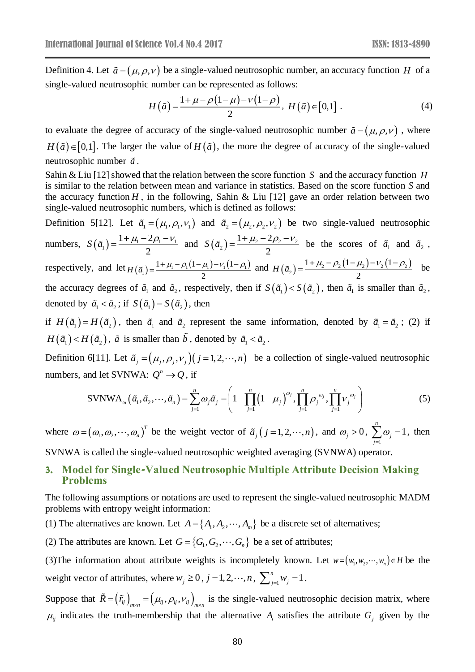Definition 4. Let  $\tilde{a} = (\mu, \rho, \nu)$  be a single-valued neutrosophic number, an accuracy function *H* of a single-valued neutrosophic number can be represented as follows:

$$
H(\tilde{a}) = \frac{1 + \mu - \rho(1 - \mu) - \nu(1 - \rho)}{2}, \ H(\tilde{a}) \in [0, 1] \ . \tag{4}
$$

to evaluate the degree of accuracy of the single-valued neutrosophic number  $\tilde{a} = (\mu, \rho, \nu)$ , where  $H(\tilde{a}) \in [0,1]$ . The larger the value of  $H(\tilde{a})$ , the more the degree of accuracy of the single-valued neutrosophic number *a* .

Sahin & Liu [12] showed that the relation between the score function S and the accuracy function H is similar to the relation between mean and variance in statistics. Based on the score function *S* and the accuracy function  $H$ , in the following, Sahin & Liu [12] gave an order relation between two single-valued neutrosophic numbers, which is defined as follows:

Definition 5[12]. Let  $\tilde{a}_1 = (\mu_1, \rho_1, \nu_1)$  and  $\tilde{a}_2 = (\mu_2, \rho_2, \nu_2)$  be two single-valued neutrosophic numbers,  $S(\tilde{a}_1) = \frac{1 + \mu_1 - 2\mu_1 - \nu_1}{2}$  $1 + \mu - 2$ 2  $S(\tilde{a}_1) = \frac{1 + \mu_1 - 2\rho_1 - v_1}{2}$  and  $S(\tilde{a}_2) = \frac{1 + \mu_2 - 2\rho_2 - v_2}{2}$  $S(\tilde{a}_2) = \frac{1 + \mu_2 - 2\rho_2 - v_2}{2}$  be the scores of  $\tilde{a}_1$  and  $\tilde{a}_2$ , respectively, and let  $H(\tilde{a}_1) = \frac{1 + \mu_1 - \rho_1(1 - \mu_1) - v_1(1 - \rho_1)}{2}$  $1 + \mu_1 - \rho_1 (1 - \mu_1) - \nu_1 (1$ 2<br>  $H(\tilde{a}_1) = \frac{1 + \mu_1 - \rho_1(1 - \mu_1) - v_1(1 - \rho_1)}{2}$  and  $H(\tilde{a}_2) = \frac{1 + \mu_2 - \rho_2(1 - \mu_2) - v_2(1 - \rho_2)}{2}$  $H(\tilde{a}_2) = \frac{1 + \mu_2 - \rho_2 (1 - \mu_2)}{2}$  $= \frac{1 + \mu_2 - \rho_2 (1 - \mu_2) - v_2 (1 - \rho_2)}{2}$  be the accuracy degrees of  $\tilde{a}_1$  and  $\tilde{a}_2$ , respectively, then if  $S(\tilde{a}_1) < S(\tilde{a}_2)$ , then  $\tilde{a}_1$  is smaller than  $\tilde{a}_2$ , denoted by  $\tilde{a}_1 < \tilde{a}_2$ ; if  $S(\tilde{a}_1) = S(\tilde{a}_2)$ , then

if  $H(\tilde{a}_1) = H(\tilde{a}_2)$ , then  $\tilde{a}_1$  and  $\tilde{a}_2$  represent the same information, denoted by  $\tilde{a}_1 = \tilde{a}_2$ ; (2) if  $H(\tilde{a}_1) < H(\tilde{a}_2)$ ,  $\tilde{a}$  is smaller than *b*, denoted by  $\tilde{a}_1 < \tilde{a}_2$ .

Definition 6[11]. Let  $\tilde{a}_j = (\mu_j, \rho_j, v_j)(j = 1, 2, \dots, n)$  be a collection of single-valued neutrosophic numbers, and let SVNWA:  $Q^n \rightarrow Q$ , if

$$
\text{SVNWA}_{\omega}(\tilde{a}_1, \tilde{a}_2, \cdots, \tilde{a}_n) = \sum_{j=1}^n \omega_j \tilde{a}_j = \left(1 - \prod_{j=1}^n \left(1 - \mu_j\right)^{\omega_j}, \prod_{j=1}^n \rho_j^{\omega_j}, \prod_{j=1}^n \nu_j^{\omega_j}\right) \tag{5}
$$

where  $\omega = (\omega_1, \omega_2, \dots, \omega_n)^T$  be the weight vector of  $\tilde{a}_j$  ( $j = 1, 2, \dots, n$ ), and  $\omega_j > 0$ ,  $\sum_{j=1}^n a_j$  $\sum_{i=1}^{n} \omega_i = 1$ *j j*  $\sum \omega_j = 1$ , then SVNWA is called the single-valued neutrosophic weighted averaging (SVNWA) operator.

## **3. Model for Single-Valued Neutrosophic Multiple Attribute Decision Making Problems**

The following assumptions or notations are used to represent the single-valued neutrosophic MADM problems with entropy weight information:

- (1) The alternatives are known. Let  $A = \{A_1, A_2, \dots, A_m\}$  be a discrete set of alternatives;
- (2) The attributes are known. Let  $G = \{G_1, G_2, \dots, G_n\}$  be a set of attributes;

(3) The information about attribute weights is incompletely known. Let  $w = (w_1, w_2, \dots, w_n) \in H$  be the weight vector of attributes, where  $w_j \ge 0$ ,  $j = 1, 2, \dots, n$ ,  $\sum_{i=1}^{n} w_j = 1$  $\sum_{j=1}^{n} w_j = 1$ .

Suppose that  $\tilde{R} = (\tilde{r}_{ij})_{m \times n} = (\mu_{ij}, \rho_{ij}, \nu_{ij})_{m \times n}$  is the single-valued neutrosophic decision matrix, where  $\mu_{ij}$  indicates the truth-membership that the alternative  $A_i$  satisfies the attribute  $G_j$  given by the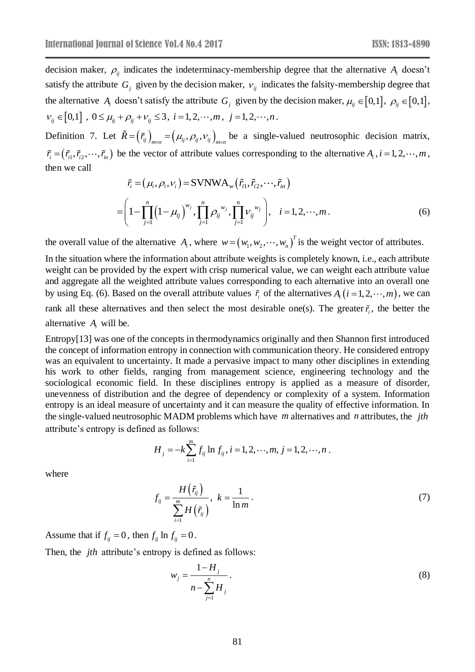decision maker,  $\rho_{ij}$  indicates the indeterminacy-membership degree that the alternative  $A_i$  doesn't satisfy the attribute  $G_j$  given by the decision maker,  $v_{ij}$  indicates the falsity-membership degree that the alternative  $A_i$  doesn't satisfy the attribute  $G_j$  given by the decision maker,  $\mu_{ij} \in [0,1]$ ,  $\rho_{ij} \in [0,1]$ ,  $V_{ij} \in [0,1]$ ,  $0 \le \mu_{ij} + \rho_{ij} + V_{ij} \le 3$ ,  $i = 1,2,\dots,m$ ,  $j = 1,2,\dots,n$ .

Definition 7. Let  $\tilde{R} = (\tilde{r}_{ij})_{m \times n} = (\mu_{ij}, \rho_{ij}, v_{ij})_{m \times n}$  be a single-valued neutrosophic decision matrix,  $\tilde{r}_i = (\tilde{r}_{i1}, \tilde{r}_{i2}, \dots, \tilde{r}_{in})$  be the vector of attribute values corresponding to the alternative  $A_i$ ,  $i = 1, 2, \dots, m$ , then we call

$$
\tilde{r}_{i} = (\mu_{i}, \rho_{i}, \nu_{i}) = \text{SVNWA}_{w}(\tilde{r}_{i1}, \tilde{r}_{i2}, \cdots, \tilde{r}_{in})
$$
\n
$$
= \left(1 - \prod_{j=1}^{n} \left(1 - \mu_{ij}\right)^{w_{j}}, \prod_{j=1}^{n} \rho_{ij}^{w_{j}}, \prod_{j=1}^{n} \nu_{ij}^{w_{j}}\right), \quad i = 1, 2, \cdots, m. \tag{6}
$$

the overall value of the alternative  $A_i$ , where  $w = (w_1, w_2, \dots, w_n)^T$  is the weight vector of attributes.

In the situation where the information about attribute weights is completely known, i.e., each attribute weight can be provided by the expert with crisp numerical value, we can weight each attribute value and aggregate all the weighted attribute values corresponding to each alternative into an overall one by using Eq. (6). Based on the overall attribute values  $\tilde{r}_i$  of the alternatives  $A_i$  ( $i = 1, 2, \dots, m$ ), we can rank all these alternatives and then select the most desirable one(s). The greater  $\tilde{r}_i$ , the better the alternative  $A_i$  will be.

Entropy[13] was one of the concepts in thermodynamics originally and then Shannon first introduced the concept of information entropy in connection with communication theory. He considered entropy was an equivalent to uncertainty. It made a pervasive impact to many other disciplines in extending his work to other fields, ranging from management science, engineering technology and the sociological economic field. In these disciplines entropy is applied as a measure of disorder, unevenness of distribution and the degree of dependency or complexity of a system. Information entropy is an ideal measure of uncertainty and it can measure the quality of effective information. In the single-valued neutrosophic MADM problems which have *m* alternatives and *n* attributes, the *jth* attribute's entropy is defined as follows:

$$
H_j = -k \sum_{i=1}^m f_{ij} \ln f_{ij}, i = 1, 2, \cdots, m, j = 1, 2, \cdots, n.
$$

where

$$
f_{ij} = \frac{H(\tilde{r}_{ij})}{\sum_{i=1}^{m} H(\tilde{r}_{ij})}, \ k = \frac{1}{\ln m}.
$$
 (7)

Assume that if  $f_{ij} = 0$ , then  $f_{ij} \ln f_{ij} = 0$ .

Then, the *jth* attribute's entropy is defined as follows:

$$
w_j = \frac{1 - H_j}{n - \sum_{j=1}^n H_j}.
$$
 (8)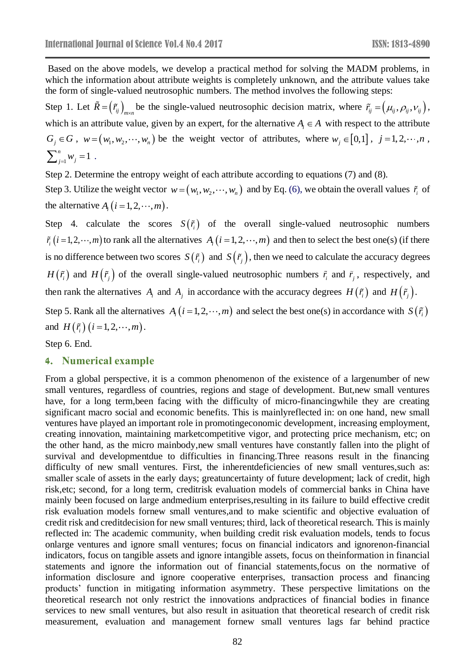Based on the above models, we develop a practical method for solving the MADM problems, in which the information about attribute weights is completely unknown, and the attribute values take the form of single-valued neutrosophic numbers. The method involves the following steps: Step 1. Let  $\tilde{R} = (\tilde{r}_i)_{m \times n}$  be the single-valued neutrosophic decision matrix, where  $\tilde{r}_i = (\mu_i, \rho_i, \nu_i)$ , which is an attribute value, given by an expert, for the alternative  $A_i \in A$  with respect to the attribute  $G_j \in G$ ,  $w = (w_1, w_2, \dots, w_n)$  be the weight vector of attributes, where  $w_j \in [0,1]$ ,  $j = 1,2,\dots, n$ ,

$$
\sum_{j=1}^n w_j = 1.
$$

Step 2. Determine the entropy weight of each attribute according to equations (7) and (8).

Step 3. Utilize the weight vector  $w = (w_1, w_2, \dots, w_n)$  and by Eq. (6), we obtain the overall values  $\tilde{r}_i$  of the alternative  $A_i$   $(i = 1, 2, \dots, m)$ .

Step 4. calculate the scores  $S(\tilde{r})$  of the overall single-valued neutrosophic numbers  $\tilde{r}_i$   $(i=1,2,\dots,m)$  to rank all the alternatives  $A_i$   $(i=1,2,\dots,m)$  and then to select the best one(s) (if there is no difference between two scores  $S(\tilde{r}_i)$  and  $S(\tilde{r}_j)$ , then we need to calculate the accuracy degrees *H*( $\tilde{r}_i$ ) and *H*( $\tilde{r}_j$ ) of the overall single-valued neutrosophic numbers  $\tilde{r}_i$  and  $\tilde{r}_j$ , respectively, and then rank the alternatives  $A_i$  and  $A_j$  in accordance with the accuracy degrees  $H(r_i)$  and  $H(r_j)$ .

Step 5. Rank all the alternatives  $A_i$   $(i = 1, 2, \dots, m)$  and select the best one(s) in accordance with  $S(\tilde{r}_i)$ and  $H(\tilde{r}_i)(i=1,2,\dots,m)$ .

Step 6. End.

## **4. Numerical example**

From a global perspective, it is a common phenomenon of the existence of a largenumber of new small ventures, regardless of countries, regions and stage of development. But,new small ventures have, for a long term,been facing with the difficulty of micro-financingwhile they are creating significant macro social and economic benefits. This is mainlyreflected in: on one hand, new small ventures have played an important role in promotingeconomic development, increasing employment, creating innovation, maintaining marketcompetitive vigor, and protecting price mechanism, etc; on the other hand, as the micro mainbody,new small ventures have constantly fallen into the plight of survival and developmentdue to difficulties in financing.Three reasons result in the financing difficulty of new small ventures. First, the inherent deficiencies of new small ventures, such as: smaller scale of assets in the early days; greatuncertainty of future development; lack of credit, high risk,etc; second, for a long term, creditrisk evaluation models of commercial banks in China have mainly been focused on large andmedium enterprises,resulting in its failure to build effective credit risk evaluation models fornew small ventures,and to make scientific and objective evaluation of credit risk and creditdecision for new small ventures; third, lack of theoretical research. This is mainly reflected in: The academic community, when building credit risk evaluation models, tends to focus onlarge ventures and ignore small ventures; focus on financial indicators and ignorenon-financial indicators, focus on tangible assets and ignore intangible assets, focus on theinformation in financial statements and ignore the information out of financial statements,focus on the normative of information disclosure and ignore cooperative enterprises, transaction process and financing products' function in mitigating information asymmetry. These perspective limitations on the theoretical research not only restrict the innovations andpractices of financial bodies in finance services to new small ventures, but also result in asituation that theoretical research of credit risk measurement, evaluation and management fornew small ventures lags far behind practice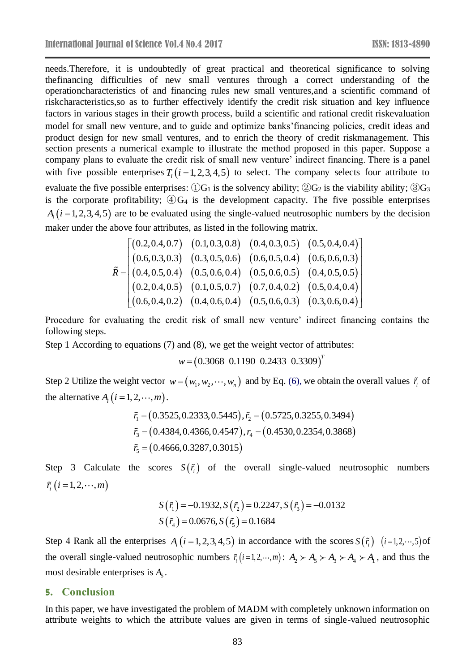needs.Therefore, it is undoubtedly of great practical and theoretical significance to solving thefinancing difficulties of new small ventures through a correct understanding of the operationcharacteristics of and financing rules new small ventures,and a scientific command of riskcharacteristics,so as to further effectively identify the credit risk situation and key influence factors in various stages in their growth process, build a scientific and rational credit riskevaluation model for small new venture, and to guide and optimize banks' financing policies, credit ideas and product design for new small ventures, and to enrich the theory of credit riskmanagement. This section presents a numerical example to illustrate the method proposed in this paper. Suppose a company plans to evaluate the credit risk of small new venture' indirect financing. There is a panel with five possible enterprises  $T_i$  ( $i = 1, 2, 3, 4, 5$ ) to select. The company selects four attribute to evaluate the five possible enterprises:  $\Omega$ G<sub>1</sub> is the solvency ability;  $\Omega$ G<sub>2</sub> is the viability ability;  $\partial$ G<sub>3</sub> is the corporate profitability;  $\mathcal{Q}G_4$  is the development capacity. The five possible enterprises  $A_i$  ( $i = 1, 2, 3, 4, 5$ ) are to be evaluated using the single-valued neutrosophic numbers by the decision maker under the above four attributes, as listed in the following matrix.

$$
\tilde{R} = \begin{bmatrix}\n(0.2, 0.4, 0.7) & (0.1, 0.3, 0.8) & (0.4, 0.3, 0.5) & (0.5, 0.4, 0.4) \\
(0.6, 0.3, 0.3) & (0.3, 0.5, 0.6) & (0.6, 0.5, 0.4) & (0.6, 0.6, 0.3) \\
(0.4, 0.5, 0.4) & (0.5, 0.6, 0.4) & (0.5, 0.6, 0.5) & (0.4, 0.5, 0.5) \\
(0.2, 0.4, 0.5) & (0.1, 0.5, 0.7) & (0.7, 0.4, 0.2) & (0.5, 0.4, 0.4) \\
(0.6, 0.4, 0.2) & (0.4, 0.6, 0.4) & (0.5, 0.6, 0.3) & (0.3, 0.6, 0.4)\n\end{bmatrix}
$$

Procedure for evaluating the credit risk of small new venture' indirect financing contains the following steps.

Step 1 According to equations (7) and (8), we get the weight vector of attributes:

$$
w = (0.3068 \ 0.1190 \ 0.2433 \ 0.3309)^T
$$

Step 2 Utilize the weight vector  $w = (w_1, w_2, \dots, w_n)$  and by Eq. (6), we obtain the overall values  $\tilde{r}_i$  of the alternative  $A_i$   $(i = 1, 2, \dots, m)$ .

$$
\tilde{r}_1 = (0.3525, 0.2333, 0.5445), \tilde{r}_2 = (0.5725, 0.3255, 0.3494)
$$
\n
$$
\tilde{r}_3 = (0.4384, 0.4366, 0.4547), r_4 = (0.4530, 0.2354, 0.3868)
$$
\n
$$
\tilde{r}_5 = (0.4666, 0.3287, 0.3015)
$$

Step 3 Calculate the scores  $S(\tilde{r}_i)$  of the overall single-valued neutrosophic numbers  $\tilde{r}_i$   $(i = 1, 2, \dots, m)$ 

$$
S(\tilde{r}_1) = -0.1932, S(\tilde{r}_2) = 0.2247, S(\tilde{r}_3) = -0.0132
$$
  

$$
S(\tilde{r}_4) = 0.0676, S(\tilde{r}_5) = 0.1684
$$

Step 4 Rank all the enterprises  $A_i$  ( $i = 1, 2, 3, 4, 5$ ) in accordance with the scores  $S(\tilde{r}_i)$  ( $i = 1, 2, \dots, 5$ ) of the overall single-valued neutrosophic numbers  $\tilde{r}_i$  ( $i=1,2,\dots,m$ ):  $A_2 \succ A_3 \succ A_4 \succ A_1$ , and thus the most desirable enterprises is  $A_5$ .

### **5. Conclusion**

In this paper, we have investigated the problem of MADM with completely unknown information on attribute weights to which the attribute values are given in terms of single-valued neutrosophic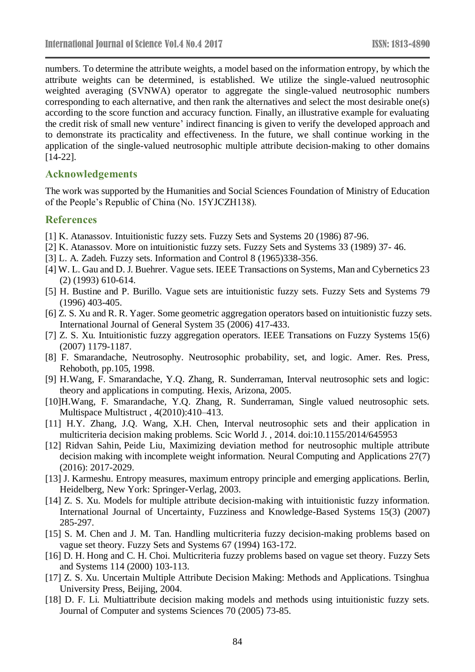numbers. To determine the attribute weights, a model based on the information entropy, by which the attribute weights can be determined, is established. We utilize the single-valued neutrosophic weighted averaging (SVNWA) operator to aggregate the single-valued neutrosophic numbers corresponding to each alternative, and then rank the alternatives and select the most desirable one(s) according to the score function and accuracy function. Finally, an illustrative example for evaluating the credit risk of small new venture' indirect financing is given to verify the developed approach and to demonstrate its practicality and effectiveness. In the future, we shall continue working in the application of the single-valued neutrosophic multiple attribute decision-making to other domains [14-22].

## **Acknowledgements**

The work was supported by the Humanities and Social Sciences Foundation of Ministry of Education of the People's Republic of China (No. 15YJCZH138).

#### **References**

- [1] K. Atanassov. Intuitionistic fuzzy sets. Fuzzy Sets and Systems 20 (1986) 87-96.
- [2] K. Atanassov. More on intuitionistic fuzzy sets. Fuzzy Sets and Systems 33 (1989) 37- 46.
- [3] L. A. Zadeh. Fuzzy sets. Information and Control 8 (1965)338-356.
- [4] W. L. Gau and D. J. Buehrer. Vague sets. IEEE Transactions on Systems, Man and Cybernetics 23 (2) (1993) 610-614.
- [5] H. Bustine and P. Burillo. Vague sets are intuitionistic fuzzy sets. Fuzzy Sets and Systems 79 (1996) 403-405.
- [6] Z. S. Xu and R. R. Yager. Some geometric aggregation operators based on intuitionistic fuzzy sets. International Journal of General System 35 (2006) 417-433.
- [7] Z. S. Xu. Intuitionistic fuzzy aggregation operators. IEEE Transations on Fuzzy Systems 15(6) (2007) 1179-1187.
- [8] F. Smarandache, Neutrosophy. Neutrosophic probability, set, and logic. Amer. Res. Press, Rehoboth, pp.105, 1998.
- [9] H.Wang, F. Smarandache, Y.Q. Zhang, R. Sunderraman, Interval neutrosophic sets and logic: theory and applications in computing. Hexis, Arizona, 2005.
- [10]H.Wang, F. Smarandache, Y.Q. Zhang, R. Sunderraman, Single valued neutrosophic sets. Multispace Multistruct , 4(2010):410–413.
- [11] H.Y. Zhang, J.Q. Wang, X.H. Chen, Interval neutrosophic sets and their application in multicriteria decision making problems. Scic World J. , 2014. doi:10.1155/2014/645953
- [12] [Ridvan Sahin,](http://dblp.uni-trier.de/pers/hd/s/Sahin:Ridvan) [Peide Liu,](http://dblp.uni-trier.de/pers/hd/l/Liu:Peide) Maximizing deviation method for neutrosophic multiple attribute decision making with incomplete weight information. [Neural Computing and Applications](http://dblp.uni-trier.de/db/journals/nca/nca27.html#SahinL16) 27(7) (2016): 2017-2029.
- [13] J. Karmeshu. Entropy measures, maximum entropy principle and emerging applications. Berlin, Heidelberg, New York: Springer-Verlag, 2003.
- [14] Z. S. Xu. Models for multiple attribute decision-making with intuitionistic fuzzy information. International Journal of Uncertainty, Fuzziness and Knowledge-Based Systems 15(3) (2007) 285-297.
- [15] S. M. Chen and J. M. Tan. Handling multicriteria fuzzy decision-making problems based on vague set theory. Fuzzy Sets and Systems 67 (1994) 163-172.
- [16] D. H. Hong and C. H. Choi. Multicriteria fuzzy problems based on vague set theory. Fuzzy Sets and Systems 114 (2000) 103-113.
- [17] Z. S. Xu. Uncertain Multiple Attribute Decision Making: Methods and Applications. Tsinghua University Press, Beijing, 2004.
- [18] D. F. Li. Multiattribute decision making models and methods using intuitionistic fuzzy sets. Journal of Computer and systems Sciences 70 (2005) 73-85.